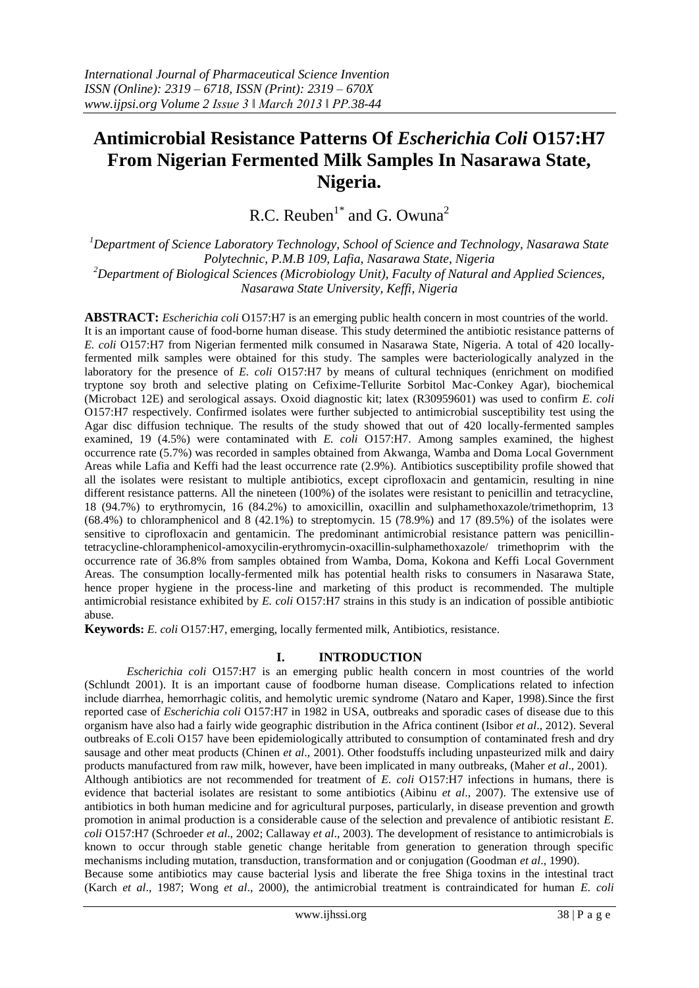# **Antimicrobial Resistance Patterns Of** *Escherichia Coli* **O157:H7 From Nigerian Fermented Milk Samples In Nasarawa State, Nigeria.**

R.C. Reuben<sup>1\*</sup> and G. Owuna<sup>2</sup>

*<sup>1</sup>Department of Science Laboratory Technology, School of Science and Technology, Nasarawa State Polytechnic, P.M.B 109, Lafia, Nasarawa State, Nigeria <sup>2</sup>Department of Biological Sciences (Microbiology Unit), Faculty of Natural and Applied Sciences, Nasarawa State University, Keffi, Nigeria*

**ABSTRACT:** *Escherichia coli* O157:H7 is an emerging public health concern in most countries of the world. It is an important cause of food-borne human disease. This study determined the antibiotic resistance patterns of *E. coli* O157:H7 from Nigerian fermented milk consumed in Nasarawa State, Nigeria. A total of 420 locallyfermented milk samples were obtained for this study. The samples were bacteriologically analyzed in the laboratory for the presence of *E. coli* O157:H7 by means of cultural techniques (enrichment on modified tryptone soy broth and selective plating on Cefixime-Tellurite Sorbitol Mac-Conkey Agar), biochemical (Microbact 12E) and serological assays. Oxoid diagnostic kit; latex (R30959601) was used to confirm *E. coli*  O157:H7 respectively. Confirmed isolates were further subjected to antimicrobial susceptibility test using the Agar disc diffusion technique. The results of the study showed that out of 420 locally-fermented samples examined, 19 (4.5%) were contaminated with *E. coli* O157:H7. Among samples examined, the highest occurrence rate (5.7%) was recorded in samples obtained from Akwanga, Wamba and Doma Local Government Areas while Lafia and Keffi had the least occurrence rate (2.9%). Antibiotics susceptibility profile showed that all the isolates were resistant to multiple antibiotics, except ciprofloxacin and gentamicin, resulting in nine different resistance patterns. All the nineteen (100%) of the isolates were resistant to penicillin and tetracycline, 18 (94.7%) to erythromycin, 16 (84.2%) to amoxicillin, oxacillin and sulphamethoxazole/trimethoprim, 13  $(68.4\%)$  to chloramphenicol and 8 (42.1%) to streptomycin. 15 (78.9%) and 17 (89.5%) of the isolates were sensitive to ciprofloxacin and gentamicin. The predominant antimicrobial resistance pattern was penicillintetracycline-chloramphenicol-amoxycilin-erythromycin-oxacillin-sulphamethoxazole/ trimethoprim with the occurrence rate of 36.8% from samples obtained from Wamba, Doma, Kokona and Keffi Local Government Areas. The consumption locally-fermented milk has potential health risks to consumers in Nasarawa State, hence proper hygiene in the process-line and marketing of this product is recommended. The multiple antimicrobial resistance exhibited by *E. coli* O157:H7 strains in this study is an indication of possible antibiotic abuse.

**Keywords:** *E. coli* O157:H7, emerging, locally fermented milk, Antibiotics, resistance.

# **I. INTRODUCTION**

*Escherichia coli* O157:H7 is an emerging public health concern in most countries of the world (Schlundt 2001). It is an important cause of foodborne human disease. Complications related to infection include diarrhea, hemorrhagic colitis, and hemolytic uremic syndrome (Nataro and Kaper, 1998)*.*Since the first reported case of *Escherichia coli* O157:H7 in 1982 in USA, outbreaks and sporadic cases of disease due to this organism have also had a fairly wide geographic distribution in the Africa continent (Isibor *et al*., 2012). Several outbreaks of E.coli O157 have been epidemiologically attributed to consumption of contaminated fresh and dry sausage and other meat products (Chinen *et al*., 2001). Other foodstuffs including unpasteurized milk and dairy products manufactured from raw milk, however, have been implicated in many outbreaks, (Maher *et al*., 2001). Although antibiotics are not recommended for treatment of *E. coli* O157:H7 infections in humans, there is evidence that bacterial isolates are resistant to some antibiotics (Aibinu *et al*., 2007). The extensive use of antibiotics in both human medicine and for agricultural purposes, particularly, in disease prevention and growth promotion in animal production is a considerable cause of the selection and prevalence of antibiotic resistant *E. coli* O157:H7 (Schroeder *et al*., 2002; Callaway *et al*., 2003). The development of resistance to antimicrobials is known to occur through stable genetic change heritable from generation to generation through specific mechanisms including mutation, transduction, transformation and or conjugation (Goodman *et al*., 1990). Because some antibiotics may cause bacterial lysis and liberate the free Shiga toxins in the intestinal tract (Karch *et al*., 1987; Wong *et al*., 2000), the antimicrobial treatment is contraindicated for human *E. coli*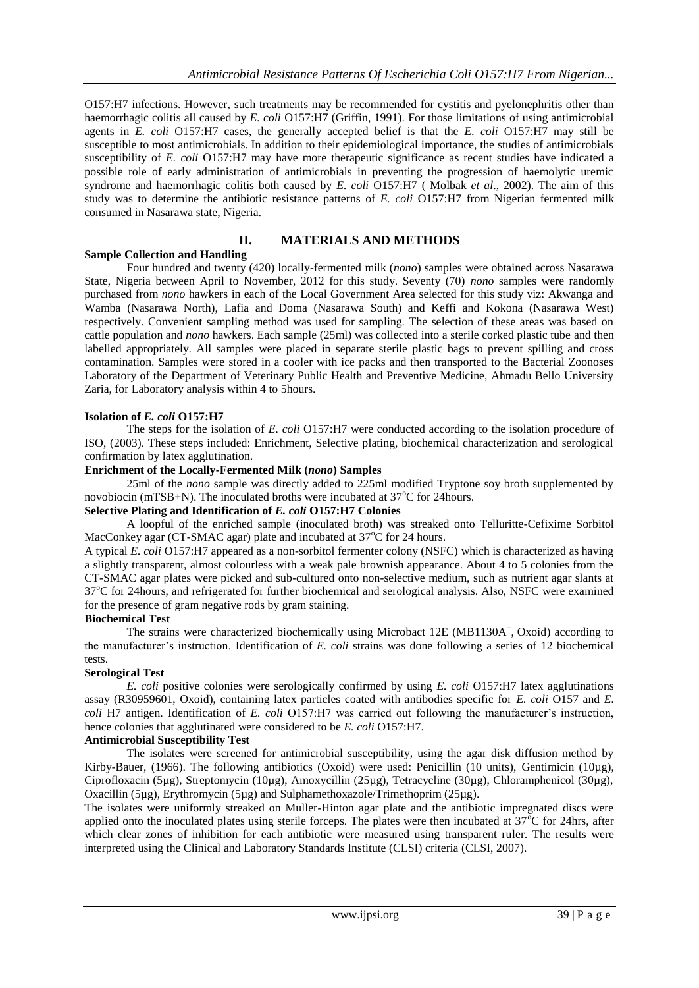O157:H7 infections. However, such treatments may be recommended for cystitis and pyelonephritis other than haemorrhagic colitis all caused by *E. coli* O157:H7 (Griffin, 1991). For those limitations of using antimicrobial agents in *E. coli* O157:H7 cases, the generally accepted belief is that the *E. coli* O157:H7 may still be susceptible to most antimicrobials. In addition to their epidemiological importance, the studies of antimicrobials susceptibility of *E. coli* O157:H7 may have more therapeutic significance as recent studies have indicated a possible role of early administration of antimicrobials in preventing the progression of haemolytic uremic syndrome and haemorrhagic colitis both caused by *E. coli* O157:H7 ( Molbak *et al*., 2002). The aim of this study was to determine the antibiotic resistance patterns of *E. coli* O157:H7 from Nigerian fermented milk consumed in Nasarawa state, Nigeria.

# **II. MATERIALS AND METHODS**

# **Sample Collection and Handling**

Four hundred and twenty (420) locally-fermented milk (*nono*) samples were obtained across Nasarawa State, Nigeria between April to November, 2012 for this study. Seventy (70) *nono* samples were randomly purchased from *nono* hawkers in each of the Local Government Area selected for this study viz: Akwanga and Wamba (Nasarawa North), Lafia and Doma (Nasarawa South) and Keffi and Kokona (Nasarawa West) respectively. Convenient sampling method was used for sampling. The selection of these areas was based on cattle population and *nono* hawkers. Each sample (25ml) was collected into a sterile corked plastic tube and then labelled appropriately. All samples were placed in separate sterile plastic bags to prevent spilling and cross contamination. Samples were stored in a cooler with ice packs and then transported to the Bacterial Zoonoses Laboratory of the Department of Veterinary Public Health and Preventive Medicine, Ahmadu Bello University Zaria, for Laboratory analysis within 4 to 5hours.

#### **Isolation of** *E. coli* **O157:H7**

The steps for the isolation of *E. coli* O157:H7 were conducted according to the isolation procedure of ISO, (2003). These steps included: Enrichment, Selective plating, biochemical characterization and serological confirmation by latex agglutination.

#### **Enrichment of the Locally-Fermented Milk (***nono***) Samples**

25ml of the *nono* sample was directly added to 225ml modified Tryptone soy broth supplemented by novobiocin (mTSB+N). The inoculated broths were incubated at  $37^{\circ}$ C for 24hours.

#### **Selective Plating and Identification of** *E. coli* **O157:H7 Colonies**

A loopful of the enriched sample (inoculated broth) was streaked onto Telluritte-Cefixime Sorbitol MacConkey agar (CT-SMAC agar) plate and incubated at  $37^{\circ}$ C for 24 hours.

A typical *E. coli* O157:H7 appeared as a non-sorbitol fermenter colony (NSFC) which is characterized as having a slightly transparent, almost colourless with a weak pale brownish appearance. About 4 to 5 colonies from the CT-SMAC agar plates were picked and sub-cultured onto non-selective medium, such as nutrient agar slants at 37°C for 24hours, and refrigerated for further biochemical and serological analysis. Also, NSFC were examined for the presence of gram negative rods by gram staining.

#### **Biochemical Test**

The strains were characterized biochemically using Microbact 12E (MB1130A<sup>+</sup>, Oxoid) according to the manufacturer's instruction. Identification of *E. coli* strains was done following a series of 12 biochemical tests.

# **Serological Test**

*E. coli* positive colonies were serologically confirmed by using *E. coli* O157:H7 latex agglutinations assay (R30959601, Oxoid), containing latex particles coated with antibodies specific for *E. coli* O157 and *E. coli* H7 antigen. Identification of *E. coli* O157:H7 was carried out following the manufacturer's instruction, hence colonies that agglutinated were considered to be *E. coli* O157:H7.

#### **Antimicrobial Susceptibility Test**

The isolates were screened for antimicrobial susceptibility, using the agar disk diffusion method by Kirby-Bauer, (1966). The following antibiotics (Oxoid) were used: Penicillin (10 units), Gentimicin (10µg), Ciprofloxacin (5µg), Streptomycin (10µg), Amoxycillin (25µg), Tetracycline (30µg), Chloramphenicol (30µg), Oxacillin (5µg), Erythromycin (5µg) and Sulphamethoxazole/Trimethoprim (25µg).

The isolates were uniformly streaked on Muller-Hinton agar plate and the antibiotic impregnated discs were applied onto the inoculated plates using sterile forceps. The plates were then incubated at  $37^{\circ}$ C for 24hrs, after which clear zones of inhibition for each antibiotic were measured using transparent ruler. The results were interpreted using the Clinical and Laboratory Standards Institute (CLSI) criteria (CLSI, 2007).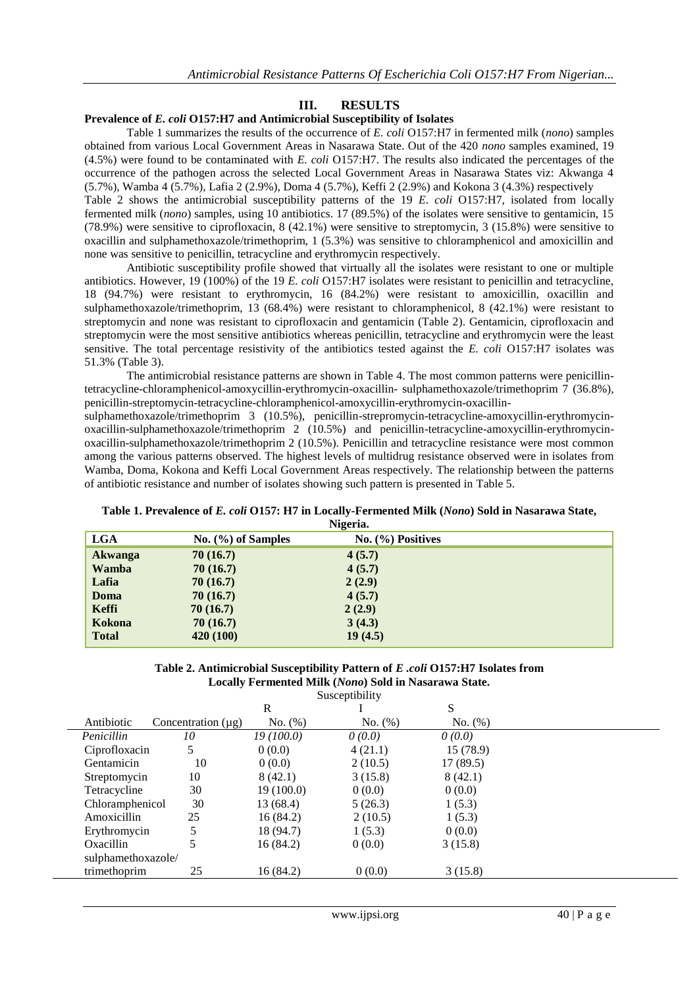# **III. RESULTS**

#### **Prevalence of** *E. coli* **O157:H7 and Antimicrobial Susceptibility of Isolates**

Table 1 summarizes the results of the occurrence of *E. coli* O157:H7 in fermented milk (*nono*) samples obtained from various Local Government Areas in Nasarawa State. Out of the 420 *nono* samples examined, 19 (4.5%) were found to be contaminated with *E. coli* O157:H7. The results also indicated the percentages of the occurrence of the pathogen across the selected Local Government Areas in Nasarawa States viz: Akwanga 4 (5.7%), Wamba 4 (5.7%), Lafia 2 (2.9%), Doma 4 (5.7%), Keffi 2 (2.9%) and Kokona 3 (4.3%) respectively Table 2 shows the antimicrobial susceptibility patterns of the 19 *E. coli* O157:H7, isolated from locally fermented milk (*nono*) samples, using 10 antibiotics. 17 (89.5%) of the isolates were sensitive to gentamicin, 15 (78.9%) were sensitive to ciprofloxacin, 8 (42.1%) were sensitive to streptomycin, 3 (15.8%) were sensitive to oxacillin and sulphamethoxazole/trimethoprim, 1 (5.3%) was sensitive to chloramphenicol and amoxicillin and none was sensitive to penicillin, tetracycline and erythromycin respectively.

Antibiotic susceptibility profile showed that virtually all the isolates were resistant to one or multiple antibiotics. However, 19 (100%) of the 19 *E. coli* O157:H7 isolates were resistant to penicillin and tetracycline, 18 (94.7%) were resistant to erythromycin, 16 (84.2%) were resistant to amoxicillin, oxacillin and sulphamethoxazole/trimethoprim, 13 (68.4%) were resistant to chloramphenicol, 8 (42.1%) were resistant to streptomycin and none was resistant to ciprofloxacin and gentamicin (Table 2). Gentamicin, ciprofloxacin and streptomycin were the most sensitive antibiotics whereas penicillin, tetracycline and erythromycin were the least sensitive. The total percentage resistivity of the antibiotics tested against the *E. coli* O157:H7 isolates was 51.3% (Table 3).

The antimicrobial resistance patterns are shown in Table 4. The most common patterns were penicillintetracycline-chloramphenicol-amoxycillin-erythromycin-oxacillin- sulphamethoxazole/trimethoprim 7 (36.8%), penicillin-streptomycin-tetracycline-chloramphenicol-amoxycillin-erythromycin-oxacillin-

sulphamethoxazole/trimethoprim 3 (10.5%), penicillin-strepromycin-tetracycline-amoxycillin-erythromycinoxacillin-sulphamethoxazole/trimethoprim 2 (10.5%) and penicillin-tetracycline-amoxycillin-erythromycinoxacillin-sulphamethoxazole/trimethoprim 2 (10.5%). Penicillin and tetracycline resistance were most common among the various patterns observed. The highest levels of multidrug resistance observed were in isolates from Wamba, Doma, Kokona and Keffi Local Government Areas respectively. The relationship between the patterns of antibiotic resistance and number of isolates showing such pattern is presented in Table 5.

# **Table 1. Prevalence of** *E. coli* **O157: H7 in Locally-Fermented Milk (***Nono***) Sold in Nasarawa State,**

| Nigeria.     |                        |                     |  |
|--------------|------------------------|---------------------|--|
| <b>LGA</b>   | No. $(\% )$ of Samples | $No.$ (%) Positives |  |
| Akwanga      | 70(16.7)               | 4(5.7)              |  |
| Wamba        | 70(16.7)               | 4(5.7)              |  |
| Lafia        | 70(16.7)               | 2(2.9)              |  |
| Doma         | 70(16.7)               | 4(5.7)              |  |
| Keffi        | 70(16.7)               | 2(2.9)              |  |
| Kokona       | 70(16.7)               | 3(4.3)              |  |
| <b>Total</b> | 420 (100)              | 19(4.5)             |  |

#### **Table 2. Antimicrobial Susceptibility Pattern of** *E .coli* **O157:H7 Isolates from Locally Fermented Milk (***Nono***) Sold in Nasarawa State.**  $S_{11}$ contibility

|                    |                         |           | Susceptionity |               |  |
|--------------------|-------------------------|-----------|---------------|---------------|--|
|                    |                         | R         |               | S             |  |
| Antibiotic         | Concentration $(\mu g)$ | No. (%)   | No. (%)       | No. (%)       |  |
| Penicillin         | 10                      | 19(100.0) | $\theta(0.0)$ | $\theta(0.0)$ |  |
| Ciprofloxacin      | 5                       | 0(0.0)    | 4(21.1)       | 15 (78.9)     |  |
| Gentamicin         | 10                      | 0(0.0)    | 2(10.5)       | 17(89.5)      |  |
| Streptomycin       | 10                      | 8(42.1)   | 3(15.8)       | 8(42.1)       |  |
| Tetracycline       | 30                      | 19(100.0) | 0(0.0)        | 0(0.0)        |  |
| Chloramphenicol    | 30                      | 13 (68.4) | 5(26.3)       | 1(5.3)        |  |
| Amoxicillin        | 25                      | 16(84.2)  | 2(10.5)       | 1(5.3)        |  |
| Erythromycin       |                         | 18 (94.7) | 1(5.3)        | 0(0.0)        |  |
| Oxacillin          |                         | 16(84.2)  | 0(0.0)        | 3(15.8)       |  |
| sulphamethoxazole/ |                         |           |               |               |  |
| trimethoprim       | 25                      | 16 (84.2) | 0(0.0)        | 3(15.8)       |  |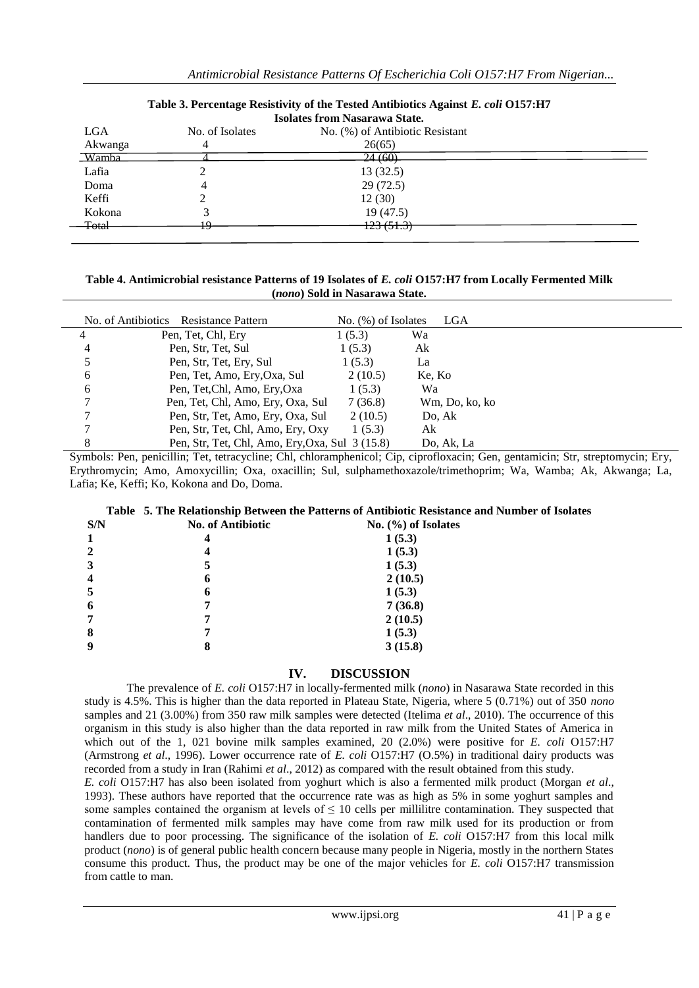| <b>Isolates from Nasarawa State.</b> |                 |                                 |  |  |
|--------------------------------------|-----------------|---------------------------------|--|--|
| <b>LGA</b>                           | No. of Isolates | No. (%) of Antibiotic Resistant |  |  |
| Akwanga                              |                 | 26(65)                          |  |  |
| Wamba                                |                 | $-24(60)$                       |  |  |
| Lafia                                |                 | 13(32.5)                        |  |  |
| Doma                                 | 4               | 29(72.5)                        |  |  |
| Keffi                                |                 | 12(30)                          |  |  |
| Kokona                               |                 | 19(47.5)                        |  |  |
| <del>Total</del>                     | ம               | <del>123 (51.3)</del>           |  |  |
|                                      |                 |                                 |  |  |

# **Table 3. Percentage Resistivity of the Tested Antibiotics Against** *E. coli* **O157:H7**

**Table 4. Antimicrobial resistance Patterns of 19 Isolates of** *E. coli* **O157:H7 from Locally Fermented Milk (***nono***) Sold in Nasarawa State.**

|   | No. of Antibiotics<br>Resistance Pattern        | No. $(\%)$ of Isolates | LGA            |  |
|---|-------------------------------------------------|------------------------|----------------|--|
|   | Pen, Tet, Chl, Ery                              | 1(5.3)                 | Wa             |  |
| 4 | Pen, Str, Tet, Sul                              | 1(5.3)                 | Ak             |  |
| 5 | Pen, Str, Tet, Ery, Sul                         | 1(5.3)                 | La             |  |
| 6 | Pen, Tet, Amo, Ery, Oxa, Sul                    | 2(10.5)                | Ke, Ko         |  |
| 6 | Pen, Tet, Chl, Amo, Ery, Oxa                    | 1(5.3)                 | Wa             |  |
| 7 | Pen, Tet, Chl, Amo, Ery, Oxa, Sul               | 7(36.8)                | Wm, Do, ko, ko |  |
| 7 | Pen, Str, Tet, Amo, Ery, Oxa, Sul               | 2(10.5)                | Do, Ak         |  |
| 7 | Pen, Str, Tet, Chl, Amo, Ery, Oxy               | 1(5.3)                 | Ak             |  |
| 8 | Pen, Str, Tet, Chl, Amo, Ery, Oxa, Sul 3 (15.8) |                        | Do, Ak, La     |  |

Symbols: Pen, penicillin; Tet, tetracycline; Chl, chloramphenicol; Cip, ciprofloxacin; Gen, gentamicin; Str, streptomycin; Ery, Erythromycin; Amo, Amoxycillin; Oxa, oxacillin; Sul, sulphamethoxazole/trimethoprim; Wa, Wamba; Ak, Akwanga; La, Lafia; Ke, Keffi; Ko, Kokona and Do, Doma.

# **Table 5. The Relationship Between the Patterns of Antibiotic Resistance and Number of Isolates**

| S/N                     | <b>No. of Antibiotic</b> | No. $(\%)$ of Isolates |
|-------------------------|--------------------------|------------------------|
| 1                       | 4                        | 1(5.3)                 |
| $\mathbf{2}$            | 4                        | 1(5.3)                 |
| 3                       | 5                        | 1(5.3)                 |
| $\overline{\mathbf{4}}$ | 6                        | 2(10.5)                |
| 5                       | 6                        | 1(5.3)                 |
| 6                       |                          | 7(36.8)                |
| 7                       |                          | 2(10.5)                |
| 8                       |                          | 1(5.3)                 |
| 9                       | 8                        | 3(15.8)                |
|                         |                          |                        |

# **IV. DISCUSSION**

The prevalence of *E. coli* O157:H7 in locally-fermented milk (*nono*) in Nasarawa State recorded in this study is 4.5%. This is higher than the data reported in Plateau State, Nigeria, where 5 (0.71%) out of 350 *nono* samples and 21 (3.00%) from 350 raw milk samples were detected (Itelima *et al*., 2010). The occurrence of this organism in this study is also higher than the data reported in raw milk from the United States of America in which out of the 1, 021 bovine milk samples examined, 20 (2.0%) were positive for *E. coli* O157:H7 (Armstrong *et al*., 1996). Lower occurrence rate of *E. coli* O157:H7 (O.5%) in traditional dairy products was recorded from a study in Iran (Rahimi *et al*., 2012) as compared with the result obtained from this study.

*E. coli* O157:H7 has also been isolated from yoghurt which is also a fermented milk product (Morgan *et al*., 1993). These authors have reported that the occurrence rate was as high as 5% in some yoghurt samples and some samples contained the organism at levels of  $\leq 10$  cells per millilitre contamination. They suspected that contamination of fermented milk samples may have come from raw milk used for its production or from handlers due to poor processing. The significance of the isolation of *E. coli* O157:H7 from this local milk product (*nono*) is of general public health concern because many people in Nigeria, mostly in the northern States consume this product. Thus, the product may be one of the major vehicles for *E. coli* O157:H7 transmission from cattle to man.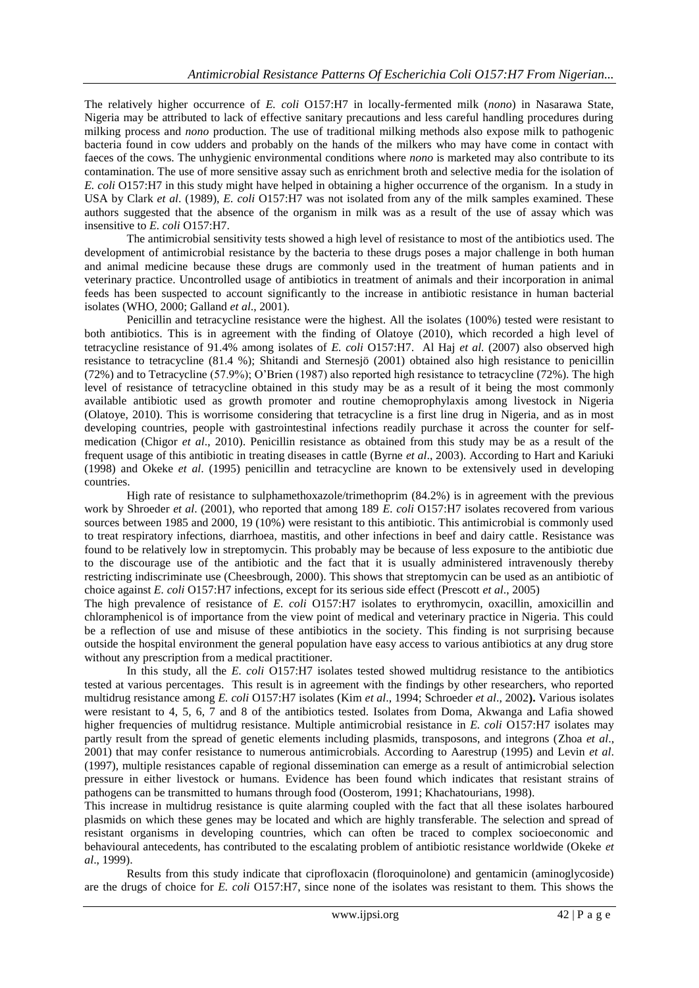The relatively higher occurrence of *E. coli* O157:H7 in locally-fermented milk (*nono*) in Nasarawa State, Nigeria may be attributed to lack of effective sanitary precautions and less careful handling procedures during milking process and *nono* production. The use of traditional milking methods also expose milk to pathogenic bacteria found in cow udders and probably on the hands of the milkers who may have come in contact with faeces of the cows. The unhygienic environmental conditions where *nono* is marketed may also contribute to its contamination. The use of more sensitive assay such as enrichment broth and selective media for the isolation of *E. coli* O157:H7 in this study might have helped in obtaining a higher occurrence of the organism. In a study in USA by Clark *et al*. (1989), *E. coli* O157:H7 was not isolated from any of the milk samples examined. These authors suggested that the absence of the organism in milk was as a result of the use of assay which was insensitive to *E. coli* O157:H7.

The antimicrobial sensitivity tests showed a high level of resistance to most of the antibiotics used. The development of antimicrobial resistance by the bacteria to these drugs poses a major challenge in both human and animal medicine because these drugs are commonly used in the treatment of human patients and in veterinary practice. Uncontrolled usage of antibiotics in treatment of animals and their incorporation in animal feeds has been suspected to account significantly to the increase in antibiotic resistance in human bacterial isolates (WHO, 2000; Galland *et al*., 2001).

Penicillin and tetracycline resistance were the highest. All the isolates (100%) tested were resistant to both antibiotics. This is in agreement with the finding of Olatoye (2010), which recorded a high level of tetracycline resistance of 91.4% among isolates of *E. coli* O157:H7. Al Haj *et al.* (2007) also observed high resistance to tetracycline (81.4 %); Shitandi and Sternesjö (2001) obtained also high resistance to penicillin (72%) and to Tetracycline (57.9%); O'Brien (1987) also reported high resistance to tetracycline (72%). The high level of resistance of tetracycline obtained in this study may be as a result of it being the most commonly available antibiotic used as growth promoter and routine chemoprophylaxis among livestock in Nigeria (Olatoye, 2010). This is worrisome considering that tetracycline is a first line drug in Nigeria, and as in most developing countries, people with gastrointestinal infections readily purchase it across the counter for selfmedication (Chigor *et al*., 2010). Penicillin resistance as obtained from this study may be as a result of the frequent usage of this antibiotic in treating diseases in cattle (Byrne *et al*., 2003). According to Hart and Kariuki (1998) and Okeke *et al*. (1995) penicillin and tetracycline are known to be extensively used in developing countries.

High rate of resistance to sulphamethoxazole/trimethoprim (84.2%) is in agreement with the previous work by Shroeder *et al*. (2001), who reported that among 189 *E. coli* O157:H7 isolates recovered from various sources between 1985 and 2000, 19 (10%) were resistant to this antibiotic. This antimicrobial is commonly used to treat respiratory infections, diarrhoea, mastitis, and other infections in beef and dairy cattle. Resistance was found to be relatively low in streptomycin. This probably may be because of less exposure to the antibiotic due to the discourage use of the antibiotic and the fact that it is usually administered intravenously thereby restricting indiscriminate use (Cheesbrough, 2000). This shows that streptomycin can be used as an antibiotic of choice against *E. coli* O157:H7 infections, except for its serious side effect (Prescott *et al*., 2005)

The high prevalence of resistance of *E. coli* O157:H7 isolates to erythromycin, oxacillin, amoxicillin and chloramphenicol is of importance from the view point of medical and veterinary practice in Nigeria. This could be a reflection of use and misuse of these antibiotics in the society. This finding is not surprising because outside the hospital environment the general population have easy access to various antibiotics at any drug store without any prescription from a medical practitioner.

In this study, all the *E. coli* O157:H7 isolates tested showed multidrug resistance to the antibiotics tested at various percentages. This result is in agreement with the findings by other researchers, who reported multidrug resistance among *E. coli* O157:H7 isolates (Kim *et al*., 1994; Schroeder *et al*., 2002**).** Various isolates were resistant to 4, 5, 6, 7 and 8 of the antibiotics tested. Isolates from Doma, Akwanga and Lafia showed higher frequencies of multidrug resistance. Multiple antimicrobial resistance in *E. coli* O157:H7 isolates may partly result from the spread of genetic elements including plasmids, transposons, and integrons (Zhoa *et al*., 2001) that may confer resistance to numerous antimicrobials. According to Aarestrup (1995) and Levin *et al*. (1997), multiple resistances capable of regional dissemination can emerge as a result of antimicrobial selection pressure in either livestock or humans. Evidence has been found which indicates that resistant strains of pathogens can be transmitted to humans through food (Oosterom, 1991; Khachatourians, 1998).

This increase in multidrug resistance is quite alarming coupled with the fact that all these isolates harboured plasmids on which these genes may be located and which are highly transferable. The selection and spread of resistant organisms in developing countries, which can often be traced to complex socioeconomic and behavioural antecedents, has contributed to the escalating problem of antibiotic resistance worldwide (Okeke *et al*., 1999).

Results from this study indicate that ciprofloxacin (floroquinolone) and gentamicin (aminoglycoside) are the drugs of choice for *E. coli* O157:H7, since none of the isolates was resistant to them. This shows the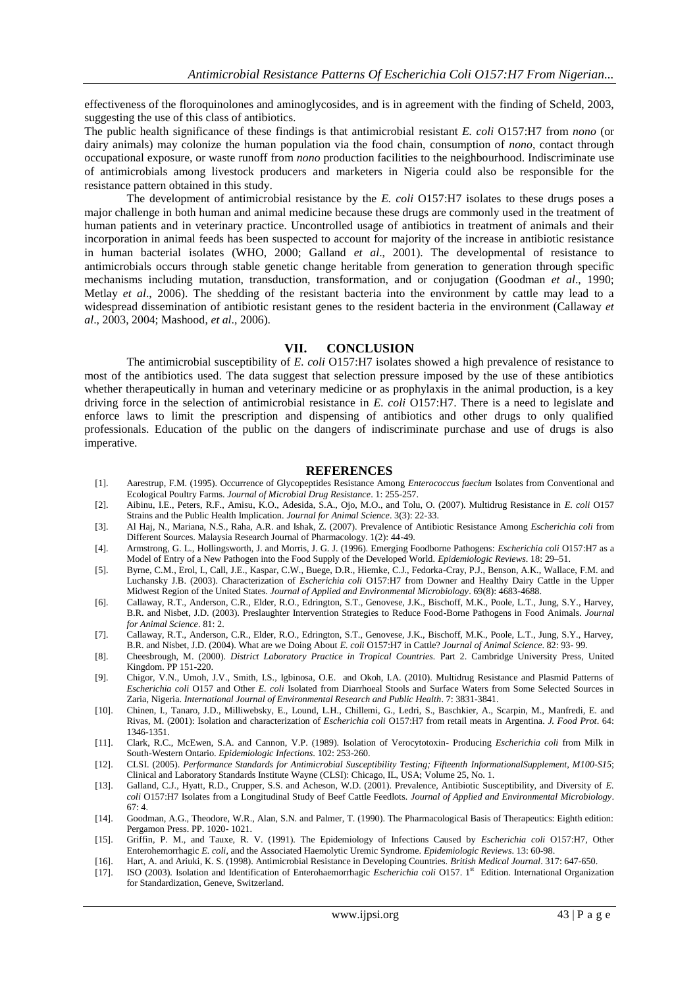effectiveness of the floroquinolones and aminoglycosides, and is in agreement with the finding of Scheld, 2003, suggesting the use of this class of antibiotics.

The public health significance of these findings is that antimicrobial resistant *E. coli* O157:H7 from *nono* (or dairy animals) may colonize the human population via the food chain, consumption of *nono*, contact through occupational exposure, or waste runoff from *nono* production facilities to the neighbourhood. Indiscriminate use of antimicrobials among livestock producers and marketers in Nigeria could also be responsible for the resistance pattern obtained in this study.

The development of antimicrobial resistance by the *E. coli* O157:H7 isolates to these drugs poses a major challenge in both human and animal medicine because these drugs are commonly used in the treatment of human patients and in veterinary practice. Uncontrolled usage of antibiotics in treatment of animals and their incorporation in animal feeds has been suspected to account for majority of the increase in antibiotic resistance in human bacterial isolates (WHO, 2000; Galland *et al*., 2001). The developmental of resistance to antimicrobials occurs through stable genetic change heritable from generation to generation through specific mechanisms including mutation, transduction, transformation, and or conjugation (Goodman *et al*., 1990; Metlay *et al*., 2006). The shedding of the resistant bacteria into the environment by cattle may lead to a widespread dissemination of antibiotic resistant genes to the resident bacteria in the environment (Callaway *et al*., 2003, 2004; Mashood, *et al*., 2006).

#### **VII. CONCLUSION**

The antimicrobial susceptibility of *E. coli* O157:H7 isolates showed a high prevalence of resistance to most of the antibiotics used. The data suggest that selection pressure imposed by the use of these antibiotics whether therapeutically in human and veterinary medicine or as prophylaxis in the animal production, is a key driving force in the selection of antimicrobial resistance in *E. coli* O157:H7. There is a need to legislate and enforce laws to limit the prescription and dispensing of antibiotics and other drugs to only qualified professionals. Education of the public on the dangers of indiscriminate purchase and use of drugs is also imperative.

#### **REFERENCES**

- [1]. Aarestrup, F.M. (1995). Occurrence of Glycopeptides Resistance Among *Enterococcus faecium* Isolates from Conventional and Ecological Poultry Farms. *Journal of Microbial Drug Resistance*. 1: 255-257.
- [2]. Aibinu, I.E., Peters, R.F., Amisu, K.O., Adesida, S.A., Ojo, M.O., and Tolu, O. (2007). Multidrug Resistance in *E. coli* O157 Strains and the Public Health Implication. *Journal for Animal Science*. 3(3): 22-33.
- [3]. Al Haj, N., Mariana, N.S., Raha, A.R. and Ishak, Z. (2007). Prevalence of Antibiotic Resistance Among *Escherichia coli* from Different Sources. Malaysia Research Journal of Pharmacology. 1(2): 44-49.
- [4]. Armstrong, G. L., Hollingsworth, J. and Morris, J. G. J. (1996). Emerging Foodborne Pathogens: *Escherichia coli* O157:H7 as a Model of Entry of a New Pathogen into the Food Supply of the Developed World. *Epidemiologic Reviews*. 18: 29–51.
- [5]. Byrne, C.M., Erol, I., Call, J.E., Kaspar, C.W., Buege, D.R., Hiemke, C.J., Fedorka-Cray, P.J., Benson, A.K., Wallace, F.M. and Luchansky J.B. (2003). Characterization of *Escherichia coli* O157:H7 from Downer and Healthy Dairy Cattle in the Upper Midwest Region of the United States. *Journal of Applied and Environmental Microbiology*. 69(8): 4683-4688.
- [6]. Callaway, R.T., Anderson, C.R., Elder, R.O., Edrington, S.T., Genovese, J.K., Bischoff, M.K., Poole, L.T., Jung, S.Y., Harvey, B.R. and Nisbet, J.D. (2003). Preslaughter Intervention Strategies to Reduce Food-Borne Pathogens in Food Animals. *Journal for Animal Science*. 81: 2.
- [7]. Callaway, R.T., Anderson, C.R., Elder, R.O., Edrington, S.T., Genovese, J.K., Bischoff, M.K., Poole, L.T., Jung, S.Y., Harvey, B.R. and Nisbet, J.D. (2004). What are we Doing About *E. coli* O157:H7 in Cattle? *Journal of Animal Science*. 82: 93- 99.
- [8]. Cheesbrough, M. (2000). *District Laboratory Practice in Tropical Countries.* Part 2. Cambridge University Press, United Kingdom. PP 151-220.
- [9]. Chigor, V.N., Umoh, J.V., Smith, I.S., Igbinosa, O.E. and Okoh, I.A. (2010). Multidrug Resistance and Plasmid Patterns of *Escherichia coli* O157 and Other *E. coli* Isolated from Diarrhoeal Stools and Surface Waters from Some Selected Sources in Zaria, Nigeria. *International Journal of Environmental Research and Public Health*. 7: 3831-3841.
- [10]. Chinen, I., Tanaro, J.D., Milliwebsky, E., Lound, L.H., Chillemi, G., Ledri, S., Baschkier, A., Scarpin, M., Manfredi, E. and Rivas, M. (2001): Isolation and characterization of *Escherichia coli* O157:H7 from retail meats in Argentina. *J. Food Prot*. 64: 1346-1351.
- [11]. Clark, R.C., McEwen, S.A. and Cannon, V.P. (1989). Isolation of Verocytotoxin- Producing *Escherichia coli* from Milk in South-Western Ontario. *Epidemiologic Infections*. 102: 253-260.
- [12]. CLSI. (2005). *Performance Standards for Antimicrobial Susceptibility Testing; Fifteenth InformationalSupplement*, *M100-S15*; Clinical and Laboratory Standards Institute Wayne (CLSI): Chicago, IL, USA; Volume 25, No. 1.
- [13]. Galland, C.J., Hyatt, R.D., Crupper, S.S. and Acheson, W.D. (2001). Prevalence, Antibiotic Susceptibility, and Diversity of *E. coli* O157:H7 Isolates from a Longitudinal Study of Beef Cattle Feedlots. *Journal of Applied and Environmental Microbiology*.  $67·4.$
- [14]. Goodman, A.G., Theodore, W.R., Alan, S.N. and Palmer, T. (1990). The Pharmacological Basis of Therapeutics: Eighth edition: Pergamon Press. PP. 1020- 1021.
- [15]. Griffin, P. M., and Tauxe, R. V. (1991). The Epidemiology of Infections Caused by *Escherichia coli* O157:H7, Other Enterohemorrhagic *E. coli*, and the Associated Haemolytic Uremic Syndrome. *Epidemiologic Reviews*. 13: 60-98.
- [16]. Hart, A. and Ariuki, K. S. (1998). Antimicrobial Resistance in Developing Countries. *British Medical Journal*. 317: 647-650.
- [17]. ISO (2003). Isolation and Identification of Enterohaemorrhagic *Escherichia coli* O157. 1<sup>st</sup> Edition. International Organization for Standardization, Geneve, Switzerland.